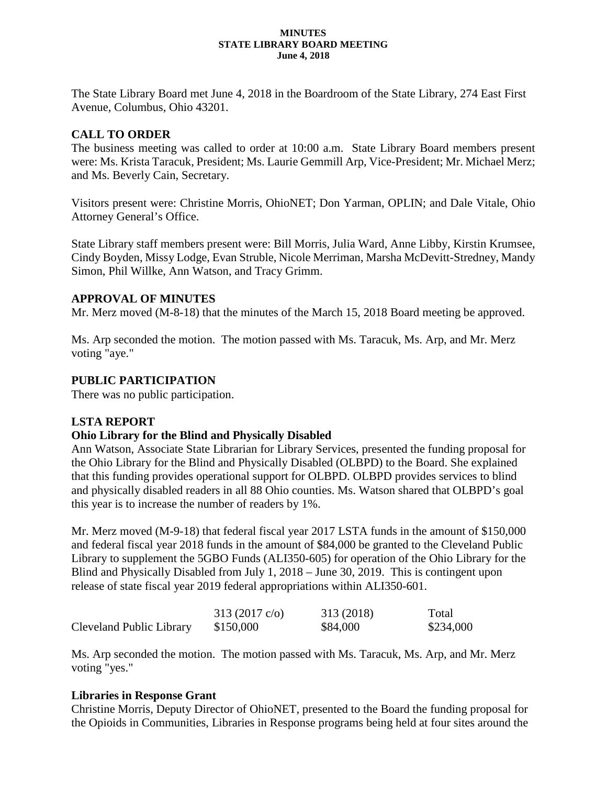#### **MINUTES STATE LIBRARY BOARD MEETING June 4, 2018**

The State Library Board met June 4, 2018 in the Boardroom of the State Library, 274 East First Avenue, Columbus, Ohio 43201.

# **CALL TO ORDER**

The business meeting was called to order at 10:00 a.m. State Library Board members present were: Ms. Krista Taracuk, President; Ms. Laurie Gemmill Arp, Vice-President; Mr. Michael Merz; and Ms. Beverly Cain, Secretary.

Visitors present were: Christine Morris, OhioNET; Don Yarman, OPLIN; and Dale Vitale, Ohio Attorney General's Office.

State Library staff members present were: Bill Morris, Julia Ward, Anne Libby, Kirstin Krumsee, Cindy Boyden, Missy Lodge, Evan Struble, Nicole Merriman, Marsha McDevitt-Stredney, Mandy Simon, Phil Willke, Ann Watson, and Tracy Grimm.

#### **APPROVAL OF MINUTES**

Mr. Merz moved (M-8-18) that the minutes of the March 15, 2018 Board meeting be approved.

Ms. Arp seconded the motion. The motion passed with Ms. Taracuk, Ms. Arp, and Mr. Merz voting "aye."

#### **PUBLIC PARTICIPATION**

There was no public participation.

#### **LSTA REPORT**

#### **Ohio Library for the Blind and Physically Disabled**

Ann Watson, Associate State Librarian for Library Services, presented the funding proposal for the Ohio Library for the Blind and Physically Disabled (OLBPD) to the Board. She explained that this funding provides operational support for OLBPD. OLBPD provides services to blind and physically disabled readers in all 88 Ohio counties. Ms. Watson shared that OLBPD's goal this year is to increase the number of readers by 1%.

Mr. Merz moved (M-9-18) that federal fiscal year 2017 LSTA funds in the amount of \$150,000 and federal fiscal year 2018 funds in the amount of \$84,000 be granted to the Cleveland Public Library to supplement the 5GBO Funds (ALI350-605) for operation of the Ohio Library for the Blind and Physically Disabled from July 1, 2018 – June 30, 2019. This is contingent upon release of state fiscal year 2019 federal appropriations within ALI350-601.

|                          | 313 $(2017 \text{ c/o})$ | 313 (2018) | Total     |
|--------------------------|--------------------------|------------|-----------|
| Cleveland Public Library | \$150,000                | \$84,000   | \$234,000 |

Ms. Arp seconded the motion. The motion passed with Ms. Taracuk, Ms. Arp, and Mr. Merz voting "yes."

#### **Libraries in Response Grant**

Christine Morris, Deputy Director of OhioNET, presented to the Board the funding proposal for the Opioids in Communities, Libraries in Response programs being held at four sites around the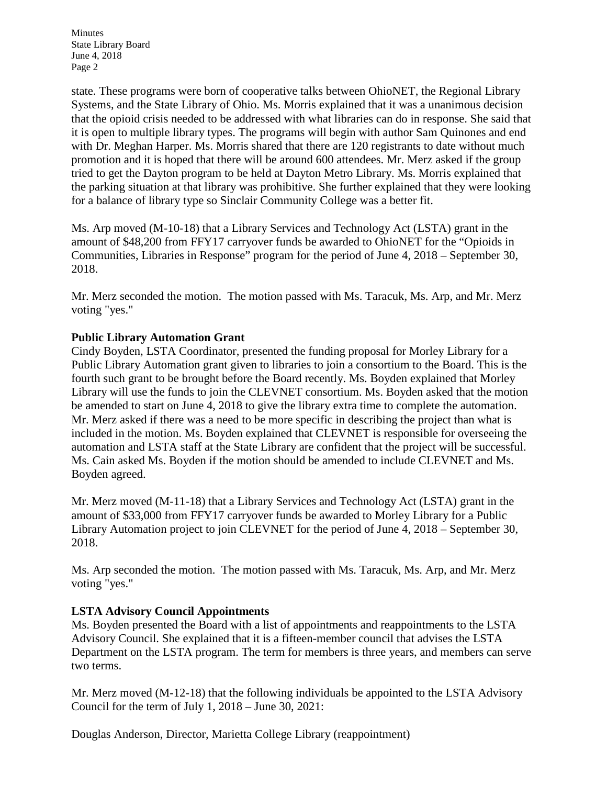state. These programs were born of cooperative talks between OhioNET, the Regional Library Systems, and the State Library of Ohio. Ms. Morris explained that it was a unanimous decision that the opioid crisis needed to be addressed with what libraries can do in response. She said that it is open to multiple library types. The programs will begin with author Sam Quinones and end with Dr. Meghan Harper. Ms. Morris shared that there are 120 registrants to date without much promotion and it is hoped that there will be around 600 attendees. Mr. Merz asked if the group tried to get the Dayton program to be held at Dayton Metro Library. Ms. Morris explained that the parking situation at that library was prohibitive. She further explained that they were looking for a balance of library type so Sinclair Community College was a better fit.

Ms. Arp moved (M-10-18) that a Library Services and Technology Act (LSTA) grant in the amount of \$48,200 from FFY17 carryover funds be awarded to OhioNET for the "Opioids in Communities, Libraries in Response" program for the period of June 4, 2018 – September 30, 2018.

Mr. Merz seconded the motion. The motion passed with Ms. Taracuk, Ms. Arp, and Mr. Merz voting "yes."

# **Public Library Automation Grant**

Cindy Boyden, LSTA Coordinator, presented the funding proposal for Morley Library for a Public Library Automation grant given to libraries to join a consortium to the Board. This is the fourth such grant to be brought before the Board recently. Ms. Boyden explained that Morley Library will use the funds to join the CLEVNET consortium. Ms. Boyden asked that the motion be amended to start on June 4, 2018 to give the library extra time to complete the automation. Mr. Merz asked if there was a need to be more specific in describing the project than what is included in the motion. Ms. Boyden explained that CLEVNET is responsible for overseeing the automation and LSTA staff at the State Library are confident that the project will be successful. Ms. Cain asked Ms. Boyden if the motion should be amended to include CLEVNET and Ms. Boyden agreed.

Mr. Merz moved (M-11-18) that a Library Services and Technology Act (LSTA) grant in the amount of \$33,000 from FFY17 carryover funds be awarded to Morley Library for a Public Library Automation project to join CLEVNET for the period of June 4, 2018 – September 30, 2018.

Ms. Arp seconded the motion. The motion passed with Ms. Taracuk, Ms. Arp, and Mr. Merz voting "yes."

# **LSTA Advisory Council Appointments**

Ms. Boyden presented the Board with a list of appointments and reappointments to the LSTA Advisory Council. She explained that it is a fifteen-member council that advises the LSTA Department on the LSTA program. The term for members is three years, and members can serve two terms.

Mr. Merz moved (M-12-18) that the following individuals be appointed to the LSTA Advisory Council for the term of July 1, 2018 – June 30, 2021:

Douglas Anderson, Director, Marietta College Library (reappointment)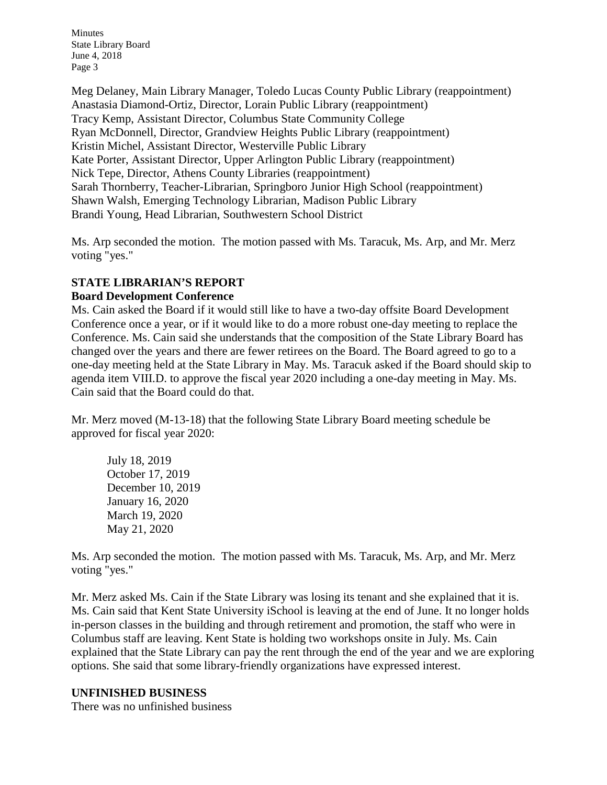Meg Delaney, Main Library Manager, Toledo Lucas County Public Library (reappointment) Anastasia Diamond-Ortiz, Director, Lorain Public Library (reappointment) Tracy Kemp, Assistant Director, Columbus State Community College Ryan McDonnell, Director, Grandview Heights Public Library (reappointment) Kristin Michel, Assistant Director, Westerville Public Library Kate Porter, Assistant Director, Upper Arlington Public Library (reappointment) Nick Tepe, Director, Athens County Libraries (reappointment) Sarah Thornberry, Teacher-Librarian, Springboro Junior High School (reappointment) Shawn Walsh, Emerging Technology Librarian, Madison Public Library Brandi Young, Head Librarian, Southwestern School District

Ms. Arp seconded the motion. The motion passed with Ms. Taracuk, Ms. Arp, and Mr. Merz voting "yes."

#### **STATE LIBRARIAN'S REPORT Board Development Conference**

Ms. Cain asked the Board if it would still like to have a two-day offsite Board Development Conference once a year, or if it would like to do a more robust one-day meeting to replace the Conference. Ms. Cain said she understands that the composition of the State Library Board has changed over the years and there are fewer retirees on the Board. The Board agreed to go to a one-day meeting held at the State Library in May. Ms. Taracuk asked if the Board should skip to agenda item VIII.D. to approve the fiscal year 2020 including a one-day meeting in May. Ms. Cain said that the Board could do that.

Mr. Merz moved (M-13-18) that the following State Library Board meeting schedule be approved for fiscal year 2020:

July 18, 2019 October 17, 2019 December 10, 2019 January 16, 2020 March 19, 2020 May 21, 2020

Ms. Arp seconded the motion. The motion passed with Ms. Taracuk, Ms. Arp, and Mr. Merz voting "yes."

Mr. Merz asked Ms. Cain if the State Library was losing its tenant and she explained that it is. Ms. Cain said that Kent State University iSchool is leaving at the end of June. It no longer holds in-person classes in the building and through retirement and promotion, the staff who were in Columbus staff are leaving. Kent State is holding two workshops onsite in July. Ms. Cain explained that the State Library can pay the rent through the end of the year and we are exploring options. She said that some library-friendly organizations have expressed interest.

# **UNFINISHED BUSINESS**

There was no unfinished business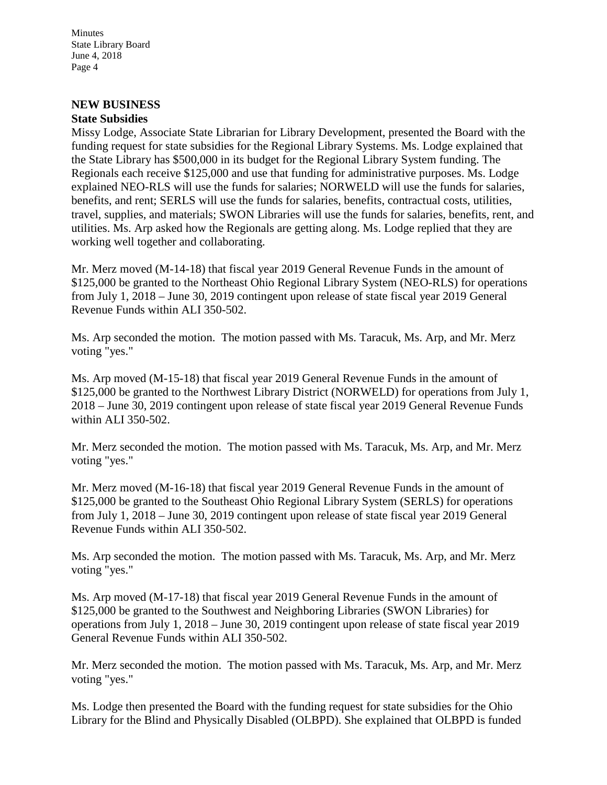# **NEW BUSINESS**

# **State Subsidies**

Missy Lodge, Associate State Librarian for Library Development, presented the Board with the funding request for state subsidies for the Regional Library Systems. Ms. Lodge explained that the State Library has \$500,000 in its budget for the Regional Library System funding. The Regionals each receive \$125,000 and use that funding for administrative purposes. Ms. Lodge explained NEO-RLS will use the funds for salaries; NORWELD will use the funds for salaries, benefits, and rent; SERLS will use the funds for salaries, benefits, contractual costs, utilities, travel, supplies, and materials; SWON Libraries will use the funds for salaries, benefits, rent, and utilities. Ms. Arp asked how the Regionals are getting along. Ms. Lodge replied that they are working well together and collaborating.

Mr. Merz moved (M-14-18) that fiscal year 2019 General Revenue Funds in the amount of \$125,000 be granted to the Northeast Ohio Regional Library System (NEO-RLS) for operations from July 1, 2018 – June 30, 2019 contingent upon release of state fiscal year 2019 General Revenue Funds within ALI 350-502.

Ms. Arp seconded the motion. The motion passed with Ms. Taracuk, Ms. Arp, and Mr. Merz voting "yes."

Ms. Arp moved (M-15-18) that fiscal year 2019 General Revenue Funds in the amount of \$125,000 be granted to the Northwest Library District (NORWELD) for operations from July 1, 2018 – June 30, 2019 contingent upon release of state fiscal year 2019 General Revenue Funds within ALI 350-502.

Mr. Merz seconded the motion. The motion passed with Ms. Taracuk, Ms. Arp, and Mr. Merz voting "yes."

Mr. Merz moved (M-16-18) that fiscal year 2019 General Revenue Funds in the amount of \$125,000 be granted to the Southeast Ohio Regional Library System (SERLS) for operations from July 1, 2018 – June 30, 2019 contingent upon release of state fiscal year 2019 General Revenue Funds within ALI 350-502.

Ms. Arp seconded the motion. The motion passed with Ms. Taracuk, Ms. Arp, and Mr. Merz voting "yes."

Ms. Arp moved (M-17-18) that fiscal year 2019 General Revenue Funds in the amount of \$125,000 be granted to the Southwest and Neighboring Libraries (SWON Libraries) for operations from July 1, 2018 – June 30, 2019 contingent upon release of state fiscal year 2019 General Revenue Funds within ALI 350-502.

Mr. Merz seconded the motion. The motion passed with Ms. Taracuk, Ms. Arp, and Mr. Merz voting "yes."

Ms. Lodge then presented the Board with the funding request for state subsidies for the Ohio Library for the Blind and Physically Disabled (OLBPD). She explained that OLBPD is funded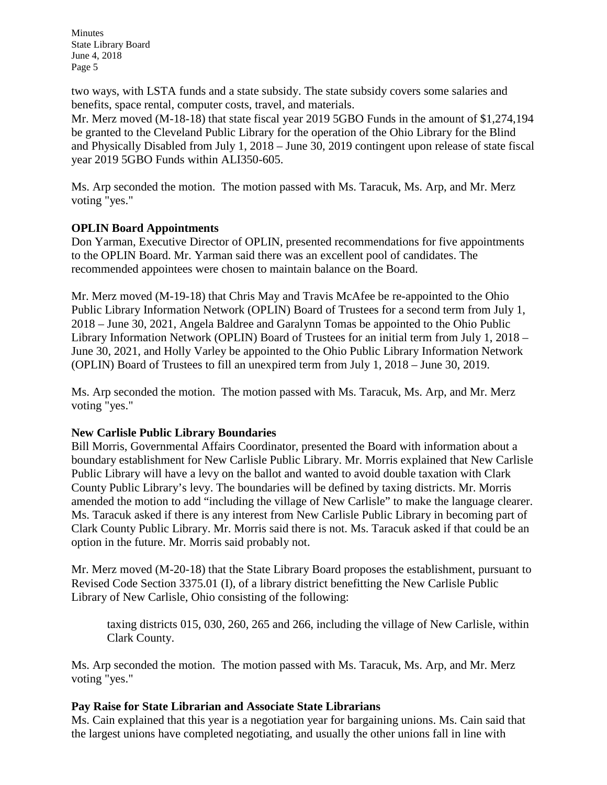two ways, with LSTA funds and a state subsidy. The state subsidy covers some salaries and benefits, space rental, computer costs, travel, and materials.

Mr. Merz moved (M-18-18) that state fiscal year 2019 5GBO Funds in the amount of \$1,274,194 be granted to the Cleveland Public Library for the operation of the Ohio Library for the Blind and Physically Disabled from July 1, 2018 – June 30, 2019 contingent upon release of state fiscal year 2019 5GBO Funds within ALI350-605.

Ms. Arp seconded the motion. The motion passed with Ms. Taracuk, Ms. Arp, and Mr. Merz voting "yes."

### **OPLIN Board Appointments**

Don Yarman, Executive Director of OPLIN, presented recommendations for five appointments to the OPLIN Board. Mr. Yarman said there was an excellent pool of candidates. The recommended appointees were chosen to maintain balance on the Board.

Mr. Merz moved (M-19-18) that Chris May and Travis McAfee be re-appointed to the Ohio Public Library Information Network (OPLIN) Board of Trustees for a second term from July 1, 2018 – June 30, 2021, Angela Baldree and Garalynn Tomas be appointed to the Ohio Public Library Information Network (OPLIN) Board of Trustees for an initial term from July 1, 2018 – June 30, 2021, and Holly Varley be appointed to the Ohio Public Library Information Network (OPLIN) Board of Trustees to fill an unexpired term from July 1, 2018 – June 30, 2019.

Ms. Arp seconded the motion. The motion passed with Ms. Taracuk, Ms. Arp, and Mr. Merz voting "yes."

# **New Carlisle Public Library Boundaries**

Bill Morris, Governmental Affairs Coordinator, presented the Board with information about a boundary establishment for New Carlisle Public Library. Mr. Morris explained that New Carlisle Public Library will have a levy on the ballot and wanted to avoid double taxation with Clark County Public Library's levy. The boundaries will be defined by taxing districts. Mr. Morris amended the motion to add "including the village of New Carlisle" to make the language clearer. Ms. Taracuk asked if there is any interest from New Carlisle Public Library in becoming part of Clark County Public Library. Mr. Morris said there is not. Ms. Taracuk asked if that could be an option in the future. Mr. Morris said probably not.

Mr. Merz moved (M-20-18) that the State Library Board proposes the establishment, pursuant to Revised Code Section 3375.01 (I), of a library district benefitting the New Carlisle Public Library of New Carlisle, Ohio consisting of the following:

taxing districts 015, 030, 260, 265 and 266, including the village of New Carlisle, within Clark County.

Ms. Arp seconded the motion. The motion passed with Ms. Taracuk, Ms. Arp, and Mr. Merz voting "yes."

# **Pay Raise for State Librarian and Associate State Librarians**

Ms. Cain explained that this year is a negotiation year for bargaining unions. Ms. Cain said that the largest unions have completed negotiating, and usually the other unions fall in line with